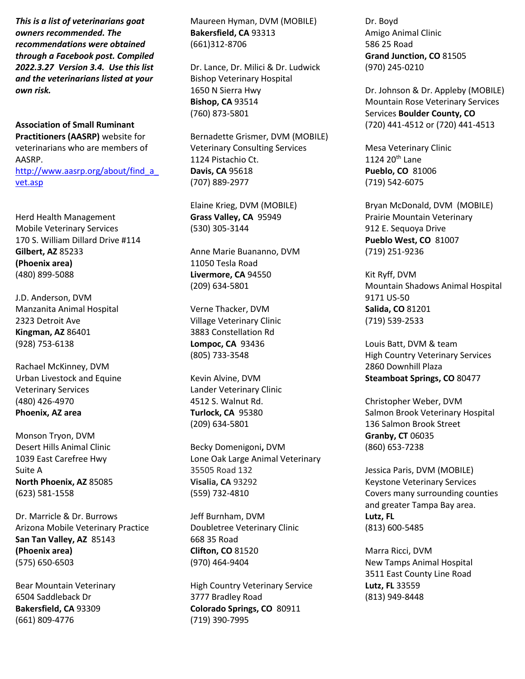*This is a list of veterinarians goat owners recommended. The recommendations were obtained through a Facebook post. Compiled 2022.3.27 Version 3.4. Use this list and the veterinarians listed at your own risk.*

**Association of Small Ruminant Practitioners (AASRP)** website for veterinarians who are members of AASRP. [http://www.aasrp.org/about/find\\_a\\_](http://www.aasrp.org/about/find_a_vet.asp) [vet.asp](http://www.aasrp.org/about/find_a_vet.asp)

Herd Health Management Mobile Veterinary Services 170 S. William Dillard Drive #114 **Gilbert, AZ** 85233 **(Phoenix area)** (480) 899-5088

J.D. Anderson, DVM Manzanita Animal Hospital 2323 Detroit Ave **Kingman, AZ** 86401 (928) 753-6138

Rachael McKinney, DVM Urban Livestock and Equine Veterinary Services (480) 426-4970 **Phoenix, AZ area**

Monson Tryon, DVM Desert Hills Animal Clinic 1039 East Carefree Hwy Suite A **North Phoenix, AZ** 85085 (623) 581-1558

Dr. Marricle & Dr. Burrows Arizona Mobile Veterinary Practice **San Tan Valley, AZ** 85143 **(Phoenix area)** (575) 650-6503

Bear Mountain Veterinary 6504 Saddleback Dr **Bakersfield, CA** 93309 (661) 809-4776

Maureen Hyman, DVM (MOBILE) **Bakersfield, CA** 93313 (661)312-8706

Dr. Lance, Dr. Milici & Dr. Ludwick Bishop Veterinary Hospital 1650 N Sierra Hwy **Bishop, CA** 93514 (760) 873-5801

Bernadette Grismer, DVM (MOBILE) Veterinary Consulting Services 1124 Pistachio Ct. **Davis, CA** 95618 (707) 889-2977

Elaine Krieg, DVM (MOBILE) **Grass Valley, CA** 95949 (530) 305-3144

Anne Marie Buananno, DVM 11050 Tesla Road **Livermore, CA** 94550 (209) 634-5801

Verne Thacker, DVM Village Veterinary Clinic 3883 Constellation Rd **Lompoc, CA** 93436 (805) 733-3548

Kevin Alvine, DVM Lander Veterinary Clinic 4512 S. Walnut Rd. **Turlock, CA** 95380 (209) 634-5801

Becky Domenigoni**,** DVM Lone Oak Large Animal Veterinary 35505 Road 132 **Visalia, CA** 93292 (559) 732-4810

Jeff Burnham, DVM Doubletree Veterinary Clinic 668 35 Road **Clifton, CO** 81520 (970) 464-9404

High Country Veterinary Service 3777 Bradley Road **Colorado Springs, CO** 80911 (719) 390-7995

Dr. Boyd Amigo Animal Clinic 586 25 Road **Grand Junction, CO** 81505 (970) 245-0210

Dr. Johnson & Dr. Appleby (MOBILE) Mountain Rose Veterinary Services Services **Boulder County, CO** (720) 441-4512 or (720) 441-4513

Mesa Veterinary Clinic 1124 20 $th$  Lane **Pueblo, CO** 81006 (719) 542-6075

Bryan McDonald, DVM (MOBILE) Prairie Mountain Veterinary 912 E. Sequoya Drive **Pueblo West, CO** 81007 (719) 251-9236

Kit Ryff, DVM Mountain Shadows Animal Hospital 9171 US-50 **Salida, CO** 81201 (719) 539-2533

Louis Batt, DVM & team High Country Veterinary Services 2860 Downhill Plaza **Steamboat Springs, CO** 80477

Christopher Weber, DVM Salmon Brook Veterinary Hospital 136 Salmon Brook Street **Granby, CT** 06035 (860) 653-7238

Jessica Paris, DVM (MOBILE) Keystone Veterinary Services Covers many surrounding counties and greater Tampa Bay area. **Lutz, FL** (813) 600-5485

Marra Ricci, DVM New Tamps Animal Hospital 3511 East County Line Road **Lutz, FL** 33559 (813) 949-8448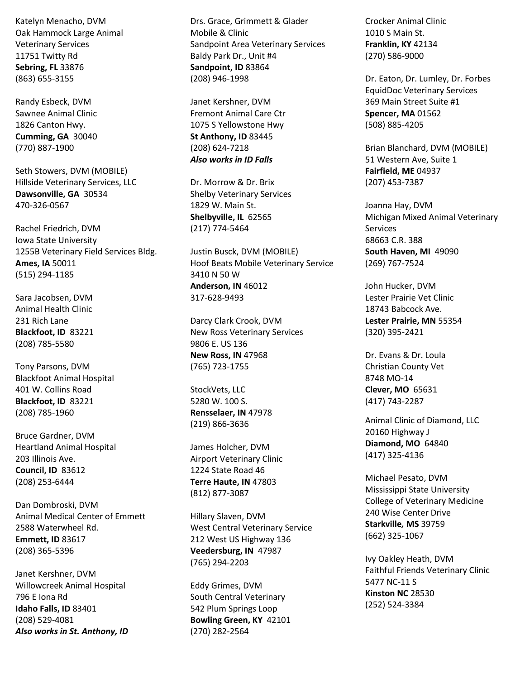Katelyn Menacho, DVM Oak Hammock Large Animal Veterinary Services 11751 Twitty Rd **Sebring, FL** 33876 (863) 655-3155

Randy Esbeck, DVM Sawnee Animal Clinic 1826 Canton Hwy. **Cumming, GA** 30040 (770) 887-1900

Seth Stowers, DVM (MOBILE) Hillside Veterinary Services, LLC **Dawsonville, GA** 30534 470-326-0567

Rachel Friedrich, DVM Iowa State University 1255B Veterinary Field Services Bldg. **Ames, IA** 50011 (515) 294-1185

Sara Jacobsen, DVM Animal Health Clinic 231 Rich Lane **Blackfoot, ID** 83221 (208) 785-5580

Tony Parsons, DVM Blackfoot Animal Hospital 401 W. Collins Road **Blackfoot, ID** 83221 (208) 785-1960

Bruce Gardner, DVM Heartland Animal Hospital 203 Illinois Ave. **Council, ID** 83612 (208) 253-6444

Dan Dombroski, DVM Animal Medical Center of Emmett 2588 Waterwheel Rd. **Emmett, ID** 83617 (208) 365-5396

Janet Kershner, DVM Willowcreek Animal Hospital 796 E Iona Rd **Idaho Falls, ID** 83401 (208) 529-4081 *Also works in St. Anthony, ID* Drs. Grace, Grimmett & Glader Mobile & Clinic Sandpoint Area Veterinary Services Baldy Park Dr., Unit #4 **Sandpoint, ID** 83864 (208) 946-1998

Janet Kershner, DVM Fremont Animal Care Ctr 1075 S Yellowstone Hwy **St Anthony, ID** 83445 (208) 624-7218 *Also works in ID Falls*

Dr. Morrow & Dr. Brix Shelby Veterinary Services 1829 W. Main St. **Shelbyville, IL** 62565 (217) 774-5464

Justin Busck, DVM (MOBILE) Hoof Beats Mobile Veterinary Service 3410 N 50 W **Anderson, IN** 46012 317-628-9493

Darcy Clark Crook, DVM New Ross Veterinary Services 9806 E. US 136 **New Ross, IN** 47968 (765) 723-1755

StockVets, LLC 5280 W. 100 S. **Rensselaer, IN** 47978 (219) 866-3636

James Holcher, DVM Airport Veterinary Clinic 1224 State Road 46 **Terre Haute, IN** 47803 (812) 877-3087

Hillary Slaven, DVM West Central Veterinary Service 212 West US Highway 136 **Veedersburg, IN** 47987 (765) 294-2203

Eddy Grimes, DVM South Central Veterinary 542 Plum Springs Loop **Bowling Green, KY** 42101 (270) 282-2564

Crocker Animal Clinic 1010 S Main St. **Franklin, KY** 42134 (270) 586-9000

Dr. Eaton, Dr. Lumley, Dr. Forbes EquidDoc Veterinary Services 369 Main Street Suite #1 **Spencer, MA** 01562 (508) 885-4205

Brian Blanchard, DVM (MOBILE) 51 Western Ave, Suite 1 **Fairfield, ME** 04937 (207) 453-7387

Joanna Hay, DVM Michigan Mixed Animal Veterinary Services 68663 C.R. 388 **South Haven, MI** 49090 (269) 767-7524

John Hucker, DVM Lester Prairie Vet Clinic 18743 Babcock Ave. **Lester Prairie, MN** 55354 (320) 395-2421

Dr. Evans & Dr. Loula Christian County Vet 8748 MO-14 **Clever, MO** 65631 (417) 743-2287

Animal Clinic of Diamond, LLC 20160 Highway J **Diamond, MO** 64840 (417) 325-4136

Michael Pesato, DVM Mississippi State University College of Veterinary Medicine 240 Wise Center Drive **Starkville***,* **MS** 39759 (662) 325-1067

Ivy Oakley Heath, DVM Faithful Friends Veterinary Clinic 5477 NC-11 S **Kinston NC** 28530 (252) 524-3384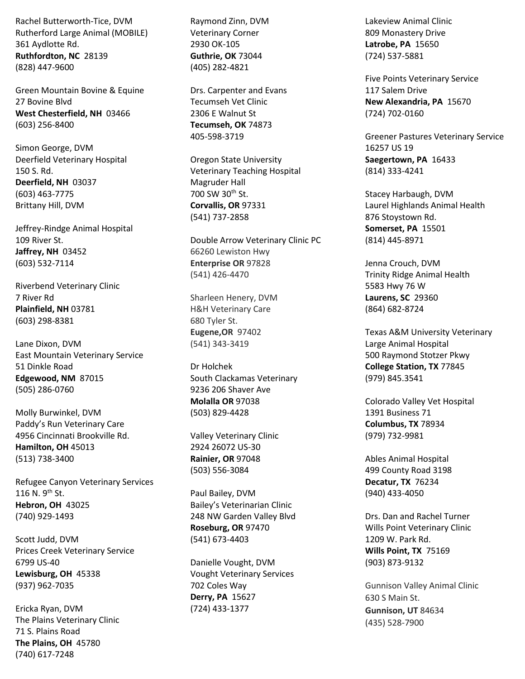Rachel Butterworth-Tice, DVM Rutherford Large Animal (MOBILE) 361 Aydlotte Rd. **Ruthfordton, NC** 28139 (828) 447-9600

Green Mountain Bovine & Equine 27 Bovine Blvd **West Chesterfield, NH** 03466 (603) 256-8400

Simon George, DVM Deerfield Veterinary Hospital 150 S. Rd. **Deerfield, NH** 03037 (603) 463-7775 Brittany Hill, DVM

Jeffrey-Rindge Animal Hospital 109 River St. **Jaffrey, NH** 03452 (603) 532-7114

Riverbend Veterinary Clinic 7 River Rd **Plainfield, NH** 03781 (603) 298-8381

Lane Dixon, DVM East Mountain Veterinary Service 51 Dinkle Road **Edgewood, NM** 87015 (505) 286-0760

Molly Burwinkel, DVM Paddy's Run Veterinary Care 4956 Cincinnati Brookville Rd. **Hamilton, OH** 45013 (513) 738-3400

Refugee Canyon Veterinary Services 116 N. 9<sup>th</sup> St. **Hebron, OH** 43025 (740) 929-1493

Scott Judd, DVM Prices Creek Veterinary Service 6799 US-40 **Lewisburg, OH** 45338 (937) 962-7035

Ericka Ryan, DVM The Plains Veterinary Clinic 71 S. Plains Road **The Plains, OH** 45780 (740) 617-7248

Raymond Zinn, DVM Veterinary Corner 2930 OK-105 **Guthrie, OK** 73044 (405) 282-4821

Drs. Carpenter and Evans Tecumseh Vet Clinic 2306 E Walnut St **Tecumseh, OK** 74873 405-598-3719

Oregon State University Veterinary Teaching Hospital Magruder Hall 700 SW 30<sup>th</sup> St. **Corvallis, OR** 97331 (541) 737-2858

Double Arrow Veterinary Clinic PC 66260 Lewiston Hwy **Enterprise OR** 97828 (541) 426-4470

Sharleen Henery, DVM H&H Veterinary Care 680 Tyler St. **Eugene,OR** 97402 (541) 343-3419

Dr Holchek South Clackamas Veterinary 9236 206 Shaver Ave **Molalla OR** 97038 (503) 829-4428

Valley Veterinary Clinic 2924 26072 US-30 **Rainier, OR** 97048 (503) 556-3084

Paul Bailey, DVM Bailey's Veterinarian Clinic 248 NW Garden Valley Blvd **Roseburg, OR** 97470 (541) 673-4403

Danielle Vought, DVM Vought Veterinary Services 702 Coles Way **Derry, PA** 15627 (724) 433-1377

Lakeview Animal Clinic 809 Monastery Drive **Latrobe, PA** 15650 (724) 537-5881

Five Points Veterinary Service 117 Salem Drive **New Alexandria, PA** 15670 (724) 702-0160

Greener Pastures Veterinary Service 16257 US 19 **Saegertown, PA** 16433 (814) 333-4241

Stacey Harbaugh, DVM Laurel Highlands Animal Health 876 Stoystown Rd. **Somerset, PA** 15501 (814) 445-8971

Jenna Crouch, DVM Trinity Ridge Animal Health 5583 Hwy 76 W **Laurens, SC** 29360 (864) 682-8724

Texas A&M University Veterinary Large Animal Hospital 500 Raymond Stotzer Pkwy **College Station, TX** 77845 (979) 845.3541

Colorado Valley Vet Hospital 1391 Business 71 **Columbus, TX** 78934 (979) 732-9981

Ables Animal Hospital 499 County Road 3198 **Decatur, TX** 76234 (940) 433-4050

Drs. Dan and Rachel Turner Wills Point Veterinary Clinic 1209 W. Park Rd. **Wills Point, TX** 75169 (903) 873-9132

Gunnison Valley Animal Clinic 630 S Main St. **Gunnison, UT** 84634 (435) 528-7900